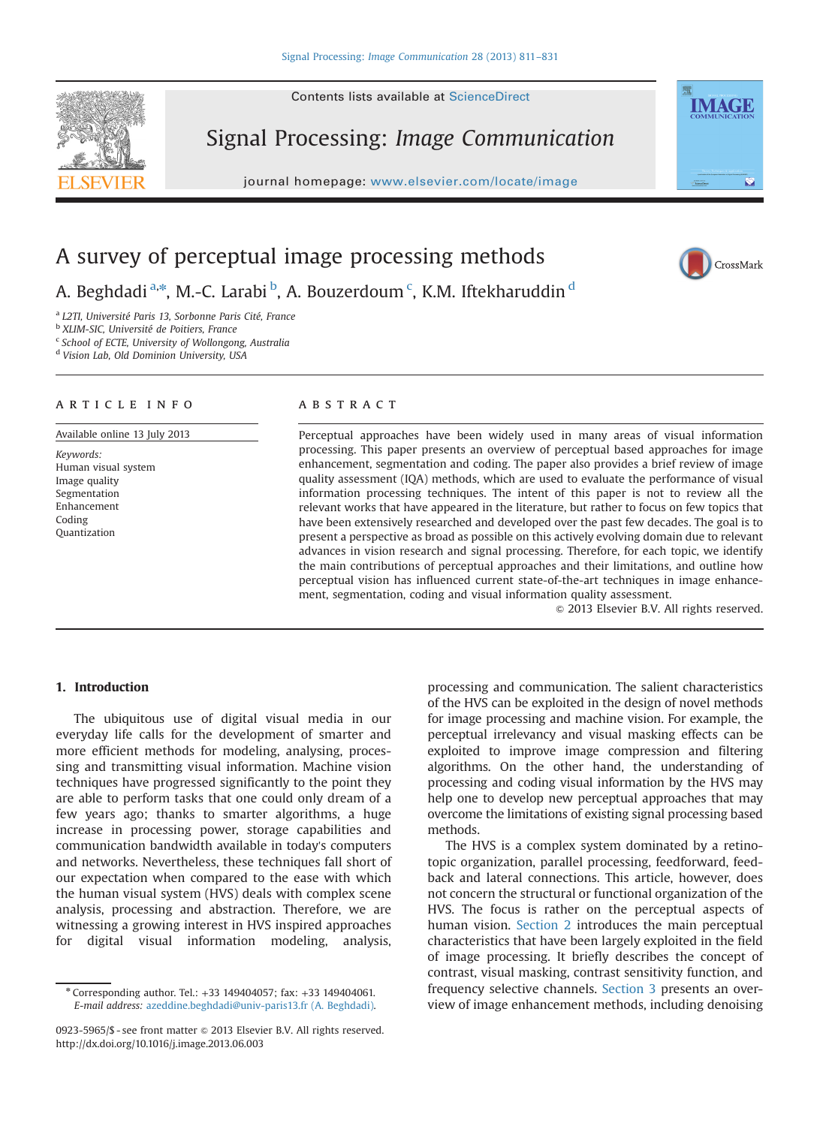

Signal Processing: Image Communication

journal homepage: <www.elsevier.com/locate/image>



CrossMark

# A survey of perceptual image processing methods

A. Beghdadi <sup>a, $\ast$ </sup>, M.-C. Larabi <sup>b</sup>, A. Bouzerdoum <sup>c</sup>, K.M. Iftekharuddin <sup>d</sup>

<sup>a</sup> L2TI, Université Paris 13, Sorbonne Paris Cité, France

<sup>b</sup> XLIM-SIC, Université de Poitiers, France

<sup>c</sup> School of ECTE, University of Wollongong, Australia

<sup>d</sup> Vision Lab, Old Dominion University, USA

#### article info

Available online 13 July 2013

Keywords: Human visual system Image quality Segmentation Enhancement Coding Quantization

## **ABSTRACT**

Perceptual approaches have been widely used in many areas of visual information processing. This paper presents an overview of perceptual based approaches for image enhancement, segmentation and coding. The paper also provides a brief review of image quality assessment (IQA) methods, which are used to evaluate the performance of visual information processing techniques. The intent of this paper is not to review all the relevant works that have appeared in the literature, but rather to focus on few topics that have been extensively researched and developed over the past few decades. The goal is to present a perspective as broad as possible on this actively evolving domain due to relevant advances in vision research and signal processing. Therefore, for each topic, we identify the main contributions of perceptual approaches and their limitations, and outline how perceptual vision has influenced current state-of-the-art techniques in image enhancement, segmentation, coding and visual information quality assessment.

 $\odot$  2013 Elsevier B.V. All rights reserved.

#### 1. Introduction

The ubiquitous use of digital visual media in our everyday life calls for the development of smarter and more efficient methods for modeling, analysing, processing and transmitting visual information. Machine vision techniques have progressed significantly to the point they are able to perform tasks that one could only dream of a few years ago; thanks to smarter algorithms, a huge increase in processing power, storage capabilities and communication bandwidth available in today's computers and networks. Nevertheless, these techniques fall short of our expectation when compared to the ease with which the human visual system (HVS) deals with complex scene analysis, processing and abstraction. Therefore, we are witnessing a growing interest in HVS inspired approaches for digital visual information modeling, analysis,

processing and communication. The salient characteristics of the HVS can be exploited in the design of novel methods for image processing and machine vision. For example, the perceptual irrelevancy and visual masking effects can be exploited to improve image compression and filtering algorithms. On the other hand, the understanding of processing and coding visual information by the HVS may help one to develop new perceptual approaches that may overcome the limitations of existing signal processing based methods.

The HVS is a complex system dominated by a retinotopic organization, parallel processing, feedforward, feedback and lateral connections. This article, however, does not concern the structural or functional organization of the HVS. The focus is rather on the perceptual aspects of human vision. Section 2 introduces the main perceptual characteristics that have been largely exploited in the field of image processing. It briefly describes the concept of contrast, visual masking, contrast sensitivity function, and frequency selective channels. Section 3 presents an overview of image enhancement methods, including denoising

<sup>n</sup> Corresponding author. Tel.: +33 149404057; fax: +33 149404061. E-mail address: [azeddine.beghdadi@univ-paris13.fr \(A. Beghdadi\)](mailto:azeddine.beghdadi@univ-paris13.fr).

<sup>0923-5965/\$ -</sup> see front matter  $\odot$  2013 Elsevier B.V. All rights reserved. <http://dx.doi.org/10.1016/j.image.2013.06.003>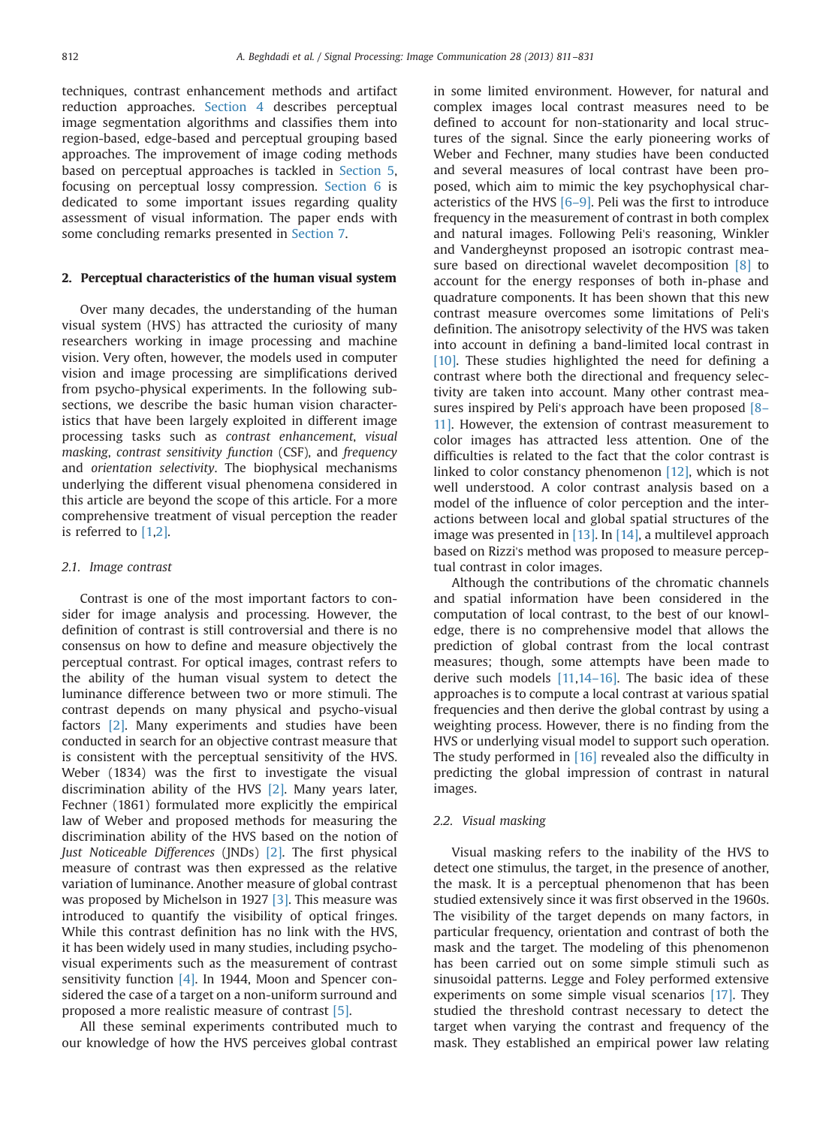techniques, contrast enhancement methods and artifact reduction approaches. Section 4 describes perceptual image segmentation algorithms and classifies them into region-based, edge-based and perceptual grouping based approaches. The improvement of image coding methods based on perceptual approaches is tackled in Section 5, focusing on perceptual lossy compression. Section 6 is dedicated to some important issues regarding quality assessment of visual information. The paper ends with some concluding remarks presented in Section 7.

#### 2. Perceptual characteristics of the human visual system

Over many decades, the understanding of the human visual system (HVS) has attracted the curiosity of many researchers working in image processing and machine vision. Very often, however, the models used in computer vision and image processing are simplifications derived from psycho-physical experiments. In the following subsections, we describe the basic human vision characteristics that have been largely exploited in different image processing tasks such as contrast enhancement, visual masking, contrast sensitivity function (CSF), and frequency and orientation selectivity. The biophysical mechanisms underlying the different visual phenomena considered in this article are beyond the scope of this article. For a more comprehensive treatment of visual perception the reader is referred to [1,2].

#### 2.1. Image contrast

Contrast is one of the most important factors to consider for image analysis and processing. However, the definition of contrast is still controversial and there is no consensus on how to define and measure objectively the perceptual contrast. For optical images, contrast refers to the ability of the human visual system to detect the luminance difference between two or more stimuli. The contrast depends on many physical and psycho-visual factors [2]. Many experiments and studies have been conducted in search for an objective contrast measure that is consistent with the perceptual sensitivity of the HVS. Weber (1834) was the first to investigate the visual discrimination ability of the HVS [2]. Many years later, Fechner (1861) formulated more explicitly the empirical law of Weber and proposed methods for measuring the discrimination ability of the HVS based on the notion of Just Noticeable Differences (JNDs) [2]. The first physical measure of contrast was then expressed as the relative variation of luminance. Another measure of global contrast was proposed by Michelson in 1927 [3]. This measure was introduced to quantify the visibility of optical fringes. While this contrast definition has no link with the HVS, it has been widely used in many studies, including psychovisual experiments such as the measurement of contrast sensitivity function [4]. In 1944, Moon and Spencer considered the case of a target on a non-uniform surround and proposed a more realistic measure of contrast [5].

All these seminal experiments contributed much to our knowledge of how the HVS perceives global contrast in some limited environment. However, for natural and complex images local contrast measures need to be defined to account for non-stationarity and local structures of the signal. Since the early pioneering works of Weber and Fechner, many studies have been conducted and several measures of local contrast have been proposed, which aim to mimic the key psychophysical characteristics of the HVS [6–9]. Peli was the first to introduce frequency in the measurement of contrast in both complex and natural images. Following Peli's reasoning, Winkler and Vandergheynst proposed an isotropic contrast measure based on directional wavelet decomposition [8] to account for the energy responses of both in-phase and quadrature components. It has been shown that this new contrast measure overcomes some limitations of Peli's definition. The anisotropy selectivity of the HVS was taken into account in defining a band-limited local contrast in [10]. These studies highlighted the need for defining a contrast where both the directional and frequency selectivity are taken into account. Many other contrast measures inspired by Peli's approach have been proposed [8– 11]. However, the extension of contrast measurement to color images has attracted less attention. One of the difficulties is related to the fact that the color contrast is linked to color constancy phenomenon [12], which is not well understood. A color contrast analysis based on a model of the influence of color perception and the interactions between local and global spatial structures of the image was presented in [13]. In [14], a multilevel approach based on Rizzi's method was proposed to measure perceptual contrast in color images.

Although the contributions of the chromatic channels and spatial information have been considered in the computation of local contrast, to the best of our knowledge, there is no comprehensive model that allows the prediction of global contrast from the local contrast measures; though, some attempts have been made to derive such models [11,14–16]. The basic idea of these approaches is to compute a local contrast at various spatial frequencies and then derive the global contrast by using a weighting process. However, there is no finding from the HVS or underlying visual model to support such operation. The study performed in [16] revealed also the difficulty in predicting the global impression of contrast in natural images.

### 2.2. Visual masking

Visual masking refers to the inability of the HVS to detect one stimulus, the target, in the presence of another, the mask. It is a perceptual phenomenon that has been studied extensively since it was first observed in the 1960s. The visibility of the target depends on many factors, in particular frequency, orientation and contrast of both the mask and the target. The modeling of this phenomenon has been carried out on some simple stimuli such as sinusoidal patterns. Legge and Foley performed extensive experiments on some simple visual scenarios [17]. They studied the threshold contrast necessary to detect the target when varying the contrast and frequency of the mask. They established an empirical power law relating